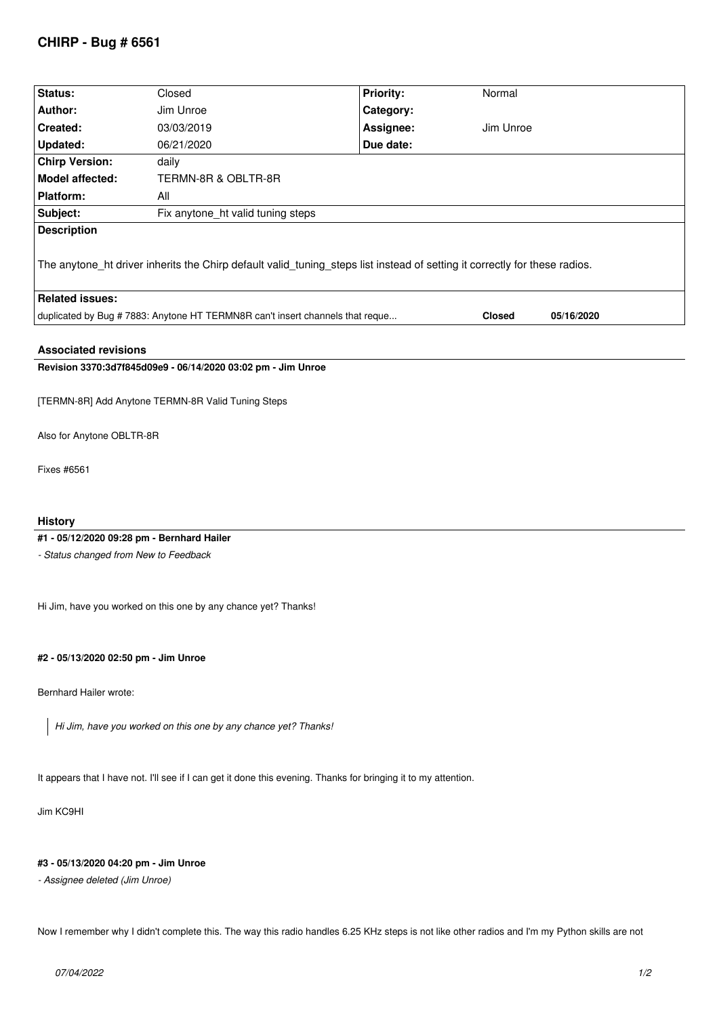# **CHIRP - Bug # 6561**

| Status:                                                                                                                    | Closed                            | <b>Priority:</b> | Normal        |            |
|----------------------------------------------------------------------------------------------------------------------------|-----------------------------------|------------------|---------------|------------|
| Author:                                                                                                                    | Jim Unroe                         | Category:        |               |            |
| Created:                                                                                                                   | 03/03/2019                        | Assignee:        | Jim Unroe     |            |
| <b>Updated:</b>                                                                                                            | 06/21/2020                        | Due date:        |               |            |
| <b>Chirp Version:</b>                                                                                                      | daily                             |                  |               |            |
| <b>Model affected:</b>                                                                                                     | TERMN-8R & OBLTR-8R               |                  |               |            |
| <b>Platform:</b>                                                                                                           | All                               |                  |               |            |
| Subject:                                                                                                                   | Fix anytone_ht valid tuning steps |                  |               |            |
| <b>Description</b>                                                                                                         |                                   |                  |               |            |
| The anytone_ht driver inherits the Chirp default valid_tuning_steps list instead of setting it correctly for these radios. |                                   |                  |               |            |
| <b>Related issues:</b>                                                                                                     |                                   |                  |               |            |
| duplicated by Bug # 7883: Anytone HT TERMN8R can't insert channels that reque                                              |                                   |                  | <b>Closed</b> | 05/16/2020 |
| <b>Associated revisions</b>                                                                                                |                                   |                  |               |            |
| Revision 3370:3d7f845d09e9 - 06/14/2020 03:02 pm - Jim Unroe                                                               |                                   |                  |               |            |
|                                                                                                                            |                                   |                  |               |            |
| [TERMN-8R] Add Anytone TERMN-8R Valid Tuning Steps                                                                         |                                   |                  |               |            |
| Also for Anytone OBLTR-8R                                                                                                  |                                   |                  |               |            |
| Fixes #6561                                                                                                                |                                   |                  |               |            |
| <b>History</b>                                                                                                             |                                   |                  |               |            |
| #1 - 05/12/2020 09:28 pm - Bernhard Hailer                                                                                 |                                   |                  |               |            |
| - Status changed from New to Feedback                                                                                      |                                   |                  |               |            |
| Hi Jim, have you worked on this one by any chance yet? Thanks!                                                             |                                   |                  |               |            |
| #2 - 05/13/2020 02:50 pm - Jim Unroe                                                                                       |                                   |                  |               |            |
| Bernhard Hailer wrote:                                                                                                     |                                   |                  |               |            |
| Hi Jim, have you worked on this one by any chance yet? Thanks!                                                             |                                   |                  |               |            |
|                                                                                                                            |                                   |                  |               |            |

*It appears that I have not. I'll see if I can get it done this evening. Thanks for bringing it to my attention.*

*Jim KC9HI*

## **#3 - 05/13/2020 04:20 pm - Jim Unroe**

*- Assignee deleted (Jim Unroe)*

*Now I remember why I didn't complete this. The way this radio handles 6.25 KHz steps is not like other radios and I'm my Python skills are not*